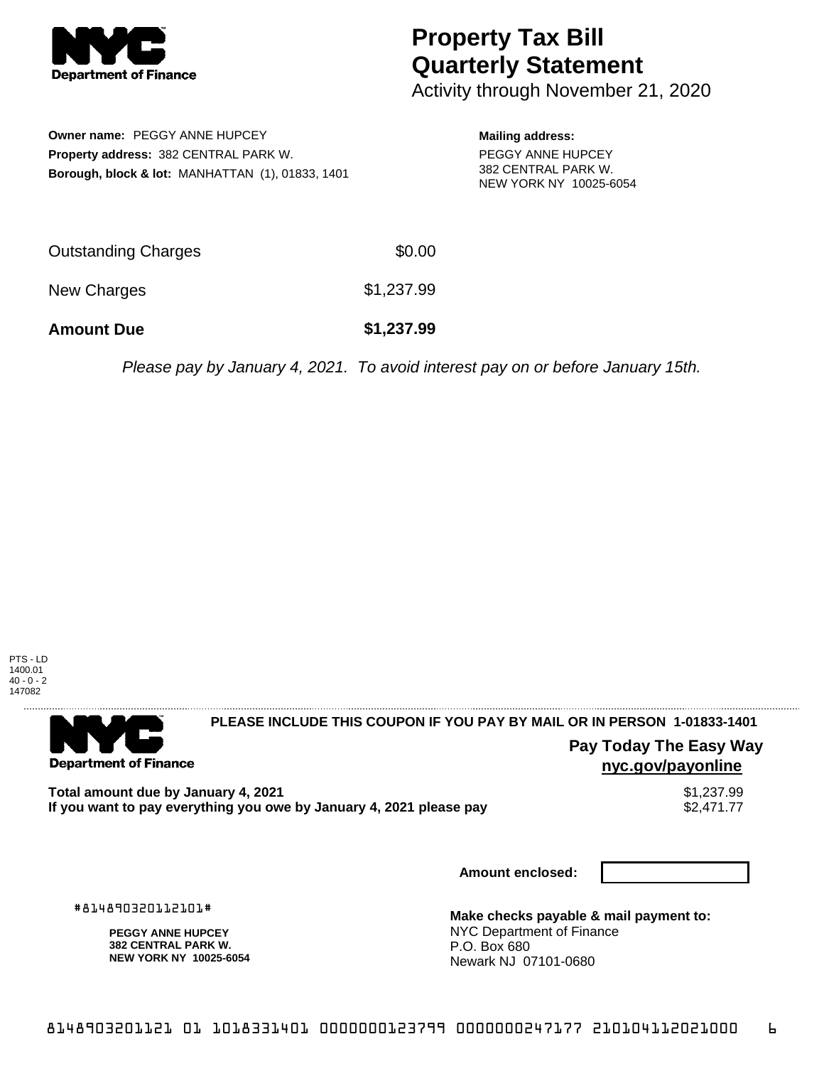

## **Property Tax Bill Quarterly Statement**

Activity through November 21, 2020

**Owner name:** PEGGY ANNE HUPCEY **Property address:** 382 CENTRAL PARK W. **Borough, block & lot:** MANHATTAN (1), 01833, 1401 **Mailing address:** PEGGY ANNE HUPCEY 382 CENTRAL PARK W. NEW YORK NY 10025-6054

| <b>Amount Due</b>   | \$1,237.99 |
|---------------------|------------|
| New Charges         | \$1,237.99 |
| Outstanding Charges | \$0.00     |

Please pay by January 4, 2021. To avoid interest pay on or before January 15th.



**Department of Finance** 

**PLEASE INCLUDE THIS COUPON IF YOU PAY BY MAIL OR IN PERSON 1-01833-1401** 

**Pay Today The Easy Way nyc.gov/payonline**

**Total amount due by January 4, 2021**<br>If you want to pay everything you owe by January 4, 2021 please pay **show that the set of the set of the s**2,471.77 If you want to pay everything you owe by January 4, 2021 please pay

**Amount enclosed:**

#814890320112101#

**PEGGY ANNE HUPCEY 382 CENTRAL PARK W. NEW YORK NY 10025-6054**

**Make checks payable & mail payment to:** NYC Department of Finance P.O. Box 680 Newark NJ 07101-0680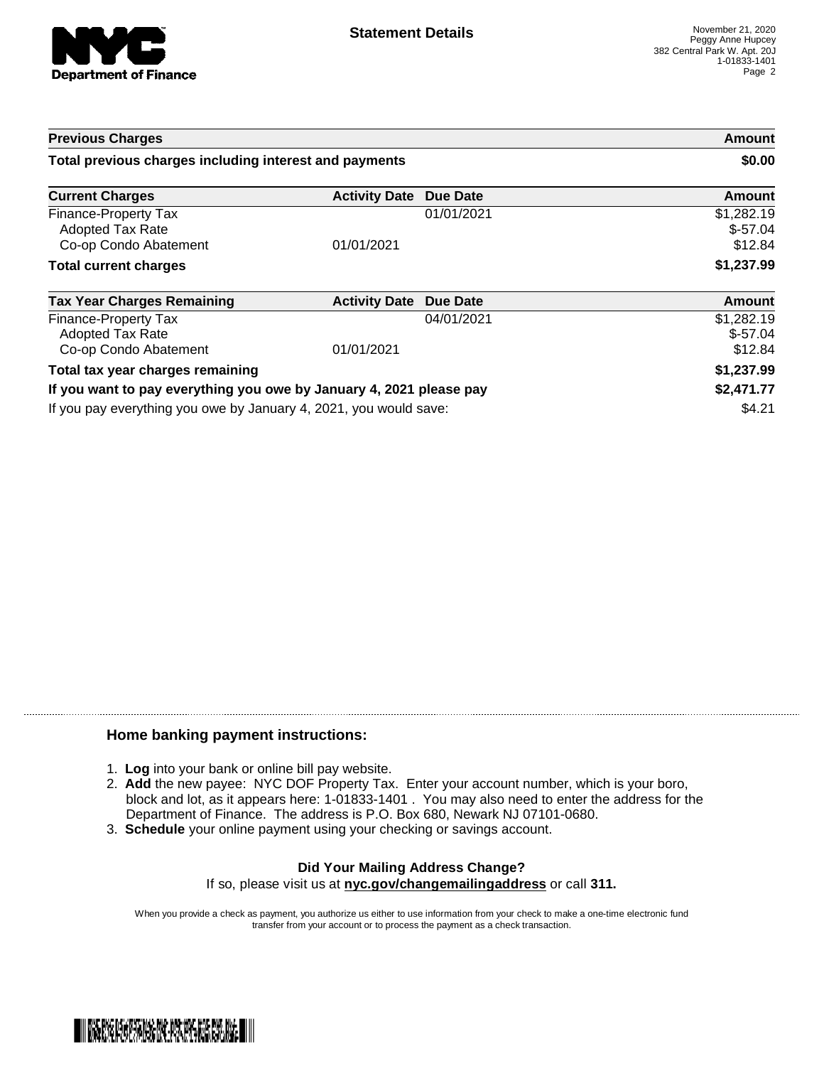

| <b>Previous Charges</b><br>Total previous charges including interest and payments                                                      |                      |            | Amount<br>\$0.00                   |
|----------------------------------------------------------------------------------------------------------------------------------------|----------------------|------------|------------------------------------|
|                                                                                                                                        |                      |            |                                    |
| Finance-Property Tax<br>Adopted Tax Rate<br>Co-op Condo Abatement                                                                      | 01/01/2021           | 01/01/2021 | \$1,282.19<br>$$-57.04$<br>\$12.84 |
| <b>Total current charges</b>                                                                                                           |                      |            | \$1,237.99                         |
| <b>Tax Year Charges Remaining</b>                                                                                                      | <b>Activity Date</b> | Due Date   | <b>Amount</b>                      |
| Finance-Property Tax<br>Adopted Tax Rate<br>Co-op Condo Abatement                                                                      | 01/01/2021           | 04/01/2021 | \$1,282.19<br>$$-57.04$<br>\$12.84 |
| Total tax year charges remaining                                                                                                       |                      |            | \$1,237.99                         |
| If you want to pay everything you owe by January 4, 2021 please pay                                                                    |                      | \$2,471.77 |                                    |
| If you want around this was one has been been as a come of $\alpha$ and $\alpha$ is a complete the second popular second that $\alpha$ |                      |            | <b>CA OA</b>                       |

If you pay everything you owe by January 4, 2021, you would save: \$4.21

## **Home banking payment instructions:**

- 1. **Log** into your bank or online bill pay website.
- 2. **Add** the new payee: NYC DOF Property Tax. Enter your account number, which is your boro, block and lot, as it appears here: 1-01833-1401 . You may also need to enter the address for the Department of Finance. The address is P.O. Box 680, Newark NJ 07101-0680.
- 3. **Schedule** your online payment using your checking or savings account.

## **Did Your Mailing Address Change?** If so, please visit us at **nyc.gov/changemailingaddress** or call **311.**

When you provide a check as payment, you authorize us either to use information from your check to make a one-time electronic fund transfer from your account or to process the payment as a check transaction.